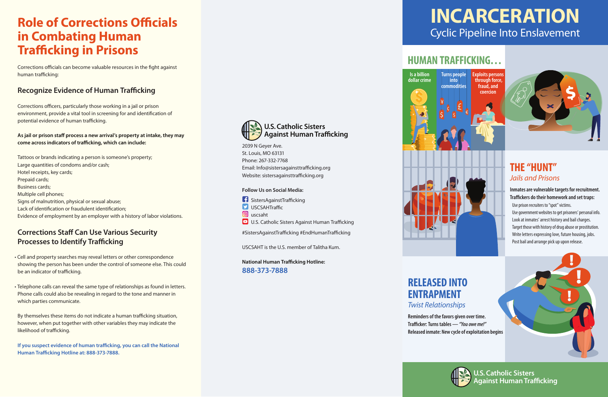# **Role of Corrections Officials in Combating Human Trafficking in Prisons**

Corrections officials can become valuable resources in the fight against human trafficking:

#### **Recognize Evidence of Human Trafficking**

Corrections officers, particularly those working in a jail or prison environment, provide a vital tool in screening for and identification of potential evidence of human trafficking.

#### As jail or prison staff process a new arrival's property at intake, they may come across indicators of trafficking, which can include:

# **HUMAN TRAFFICKING…**

**Is a billion dollar crime**



#### **Inmates are vulnerable targets for recruitment. Traffickers do their homework and set traps:**

**fraud, and coercion**

### **THE "HUNT"** *Jails and Prisons*

 Use prison recruiters to "spot" victims. Use government websites to get prisoners' personal info. Look at inmates' arrest history and bail charges. Target those with history of drug abuse or prostitution. Write letters expressing love, future housing, jobs. Post bail and arrange pick up upon release.

**U.S. Catholic Sisters gainst Human Trafficking** 

2039 N Geyer Ave. St. Louis, MO 63131 Phone: 267-332-7768 Email: Info@sistersagainsttrafficking.org Website: sistersagainsttrafficking.org

# **INCARCERATION** Cyclic Pipeline Into Enslavement

**Turns people into commodities**

**National Human Trafficking Hotline: 888-373-7888**



# **ENTRAPMENT** *Twist Relationships*

**Reminders of the favors given over time. Tracker: Turns tables —** *"You owe me!"* **Released inmate: New cycle of exploitation begins**





#### **Follow Us on Social Media:**

- $\blacksquare$  SistersAgainstTrafficking  $\triangleright$  USCSAHTraffic
- **g** uscsaht
- **D** U.S. Catholic Sisters Against Human Trafficking

#SistersAgainstTrafficking #EndHumanTrafficking

USCSAHT is the U.S. member of Talitha Kum.



Tattoos or brands indicating a person is someone's property; Large quantities of condoms and/or cash; Hotel receipts, key cards; Prepaid cards; Business cards; Multiple cell phones; Signs of malnutrition, physical or sexual abuse; Lack of identification or fraudulent identification; Evidence of employment by an employer with a history of labor violations.

### **Corrections Staff Can Use Various Security Processes to Identify Trafficking**

- Cell and property searches may reveal letters or other correspondence showing the person has been under the control of someone else. This could be an indicator of trafficking.
- Telephone calls can reveal the same type of relationships as found in letters. Phone calls could also be revealing in regard to the tone and manner in which parties communicate.

By themselves these items do not indicate a human trafficking situation, however, when put together with other variables they may indicate the likelihood of trafficking.

If you suspect evidence of human trafficking, you can call the National **Human Trafficking Hotline at: 888-373-7888.**